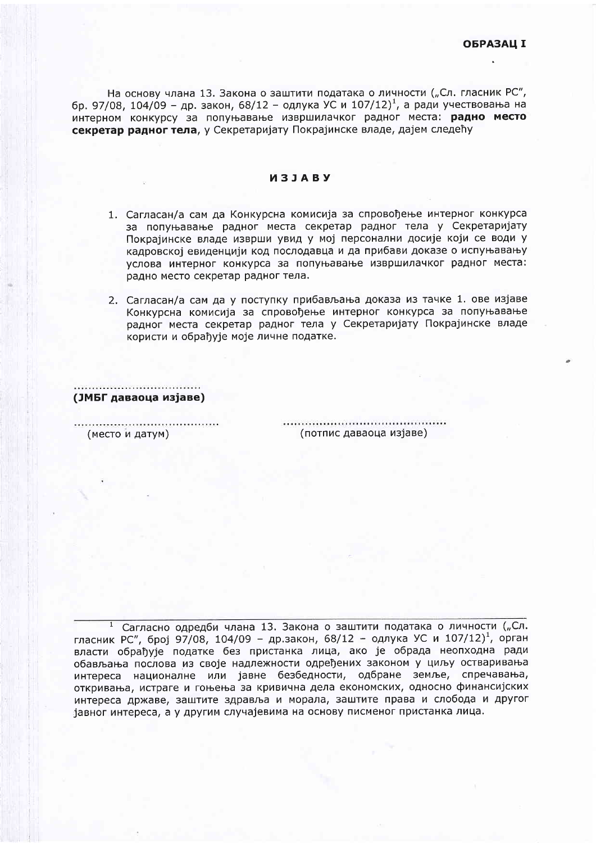На основу члана 13. Закона о заштити података о личности ("Сл. гласник РС", бр. 97/08, 104/09 - др. закон, 68/12 - одлука УС и 107/12)<sup>1</sup>, а ради учествовања на интерном конкурсу за попуњавање извршилачког радног места: радно место секретар радног тела, у Секретаријату Покрајинске владе, дајем следећу

## *M***3JABY**

- 1. Сагласан/а сам да Конкурсна комисија за спровођење интерног конкурса за попуњавање радног места секретар радног тела у Секретаријату Покрајинске владе изврши увид у мој персонални досије који се води у кадровској евиденцији код послодавца и да прибави доказе о испуњавању услова интерног конкурса за попуњавање извршилачког радног места: радно место секретар радног тела.
- 2. Сагласан/а сам да у поступку прибављања доказа из тачке 1. ове изјаве Конкурсна комисија за спровођење интерног конкурса за попуњавање радног места секретар радног тела у Секретаријату Покрајинске владе користи и обрађује моје личне податке.

(ЈМБГ даваоца изјаве)

(место и датум)

(потпис даваоца изјаве)

Сагласно одредби члана 13. Закона о заштити података о личности ("Сл. гласник РС", број 97/08, 104/09 - др.закон, 68/12 - одлука УС и 107/12)<sup>1</sup>, орган власти обрађује податке без пристанка лица, ако је обрада неопходна ради обављања послова из своје надлежности одређених законом у циљу остваривања интереса националне или јавне безбедности, одбране земље, спречавања, откривања, истраге и гоњења за кривична дела економских, односно финансијских интереса државе, заштите здравља и морала, заштите права и слобода и другог јавног интереса, а у другим случајевима на основу писменог пристанка лица.